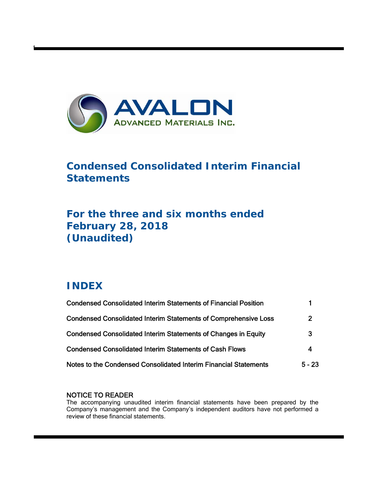

# **Condensed Consolidated Interim Financial Statements**

# **For the three and six months ended February 28, 2018 (Unaudited)**

# **INDEX**

t

| <b>Condensed Consolidated Interim Statements of Financial Position</b> |                |
|------------------------------------------------------------------------|----------------|
| <b>Condensed Consolidated Interim Statements of Comprehensive Loss</b> | $\overline{2}$ |
| <b>Condensed Consolidated Interim Statements of Changes in Equity</b>  | 3              |
| <b>Condensed Consolidated Interim Statements of Cash Flows</b>         | 4              |
| Notes to the Condensed Consolidated Interim Financial Statements       | $5 - 23$       |

# NOTICE TO READER

The accompanying unaudited interim financial statements have been prepared by the Company's management and the Company's independent auditors have not performed a review of these financial statements.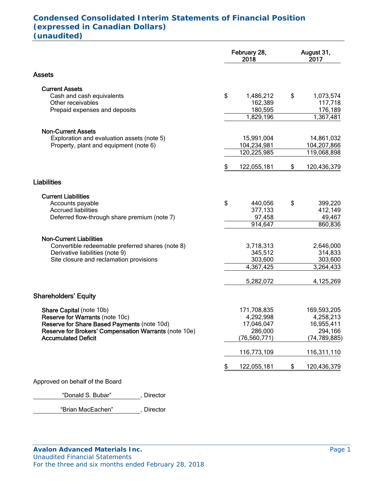# **Condensed Consolidated Interim Statements of Financial Position (expressed in Canadian Dollars) (unaudited)**

|                                                                                     | February 28,<br>2018      | August 31,<br>2017 |
|-------------------------------------------------------------------------------------|---------------------------|--------------------|
| <b>Assets</b>                                                                       |                           |                    |
| <b>Current Assets</b>                                                               |                           |                    |
| Cash and cash equivalents                                                           | \$<br>1,486,212           | \$<br>1,073,574    |
| Other receivables                                                                   | 162,389                   | 117,718            |
| Prepaid expenses and deposits                                                       | 180,595                   | 176,189            |
|                                                                                     | 1,829,196                 | 1,367,481          |
| <b>Non-Current Assets</b>                                                           |                           |                    |
| Exploration and evaluation assets (note 5)                                          | 15,991,004                | 14,861,032         |
| Property, plant and equipment (note 6)                                              | 104,234,981               | 104,207,866        |
|                                                                                     | 120,225,985               | 119,068,898        |
|                                                                                     | \$<br>122,055,181         | \$<br>120,436,379  |
| <b>Liabilities</b>                                                                  |                           |                    |
| <b>Current Liabilities</b>                                                          |                           |                    |
| Accounts payable                                                                    | \$<br>440,056             | \$<br>399,220      |
| <b>Accrued liabilities</b>                                                          | 377,133                   | 412,149            |
| Deferred flow-through share premium (note 7)                                        | 97,458                    | 49,467             |
|                                                                                     | 914,647                   | 860,836            |
| <b>Non-Current Liabilities</b>                                                      |                           |                    |
| Convertible redeemable preferred shares (note 8)                                    | 3,718,313                 | 2,646,000          |
| Derivative liabilities (note 9)                                                     | 345,512                   | 314,833            |
| Site closure and reclamation provisions                                             | 303,600                   | 303,600            |
|                                                                                     | 4,367,425                 | 3,264,433          |
|                                                                                     | 5,282,072                 | 4,125,269          |
| <b>Shareholders' Equity</b>                                                         |                           |                    |
|                                                                                     |                           |                    |
| Share Capital (note 10b)                                                            | 171,708,835               | 169,593,205        |
| <b>Reserve for Warrants (note 10c)</b>                                              | 4,292,998                 | 4,258,213          |
| Reserve for Share Based Payments (note 10d)                                         | 17,046,047                | 16,955,411         |
| Reserve for Brokers' Compensation Warrants (note 10e)<br><b>Accumulated Deficit</b> | 286,000<br>(76, 560, 771) | 294,166            |
|                                                                                     |                           | (74, 789, 885)     |
|                                                                                     | 116,773,109               | 116,311,110        |
|                                                                                     | \$<br>122,055,181         | \$<br>120,436,379  |
| Approved on behalf of the Board                                                     |                           |                    |

"Donald S. Bubar", Director

"Brian MacEachen" , Director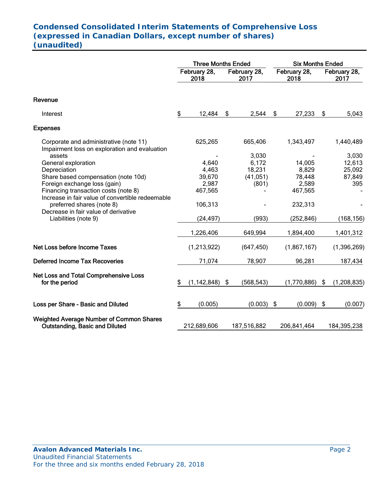# **Condensed Consolidated Interim Statements of Comprehensive Loss (expressed in Canadian Dollars, except number of shares) (unaudited)**

|                                                                                          | <b>Three Months Ended</b> |                      |                                              |             | <b>Six Months Ended</b> |             |                      |               |
|------------------------------------------------------------------------------------------|---------------------------|----------------------|----------------------------------------------|-------------|-------------------------|-------------|----------------------|---------------|
|                                                                                          |                           | February 28,<br>2018 | February 28,<br>February 28,<br>2017<br>2018 |             |                         |             | February 28,<br>2017 |               |
| Revenue                                                                                  |                           |                      |                                              |             |                         |             |                      |               |
| Interest                                                                                 | \$                        | 12,484               | \$                                           | 2,544       | \$                      | 27,233      | \$                   | 5,043         |
| <b>Expenses</b>                                                                          |                           |                      |                                              |             |                         |             |                      |               |
| Corporate and administrative (note 11)<br>Impairment loss on exploration and evaluation  |                           | 625,265              |                                              | 665,406     |                         | 1,343,497   |                      | 1,440,489     |
| assets                                                                                   |                           |                      |                                              | 3,030       |                         |             |                      | 3,030         |
| General exploration                                                                      |                           | 4,640                |                                              | 6,172       |                         | 14,005      |                      | 12,613        |
| Depreciation                                                                             |                           | 4,463                |                                              | 18,231      |                         | 8,829       |                      | 25,092        |
| Share based compensation (note 10d)                                                      |                           | 39,670               |                                              | (41, 051)   |                         | 78,448      |                      | 87,849        |
| Foreign exchange loss (gain)                                                             |                           | 2,987                |                                              | (801)       |                         | 2,589       |                      | 395           |
| Financing transaction costs (note 8)                                                     |                           | 467,565              |                                              |             |                         | 467,565     |                      |               |
| Increase in fair value of convertible redeemable<br>preferred shares (note 8)            |                           | 106,313              |                                              |             |                         | 232,313     |                      |               |
| Decrease in fair value of derivative                                                     |                           |                      |                                              |             |                         |             |                      |               |
| Liabilities (note 9)                                                                     |                           | (24, 497)            |                                              | (993)       |                         | (252, 846)  |                      | (168, 156)    |
|                                                                                          |                           |                      |                                              |             |                         |             |                      |               |
|                                                                                          |                           | 1,226,406            |                                              | 649,994     |                         | 1,894,400   |                      | 1,401,312     |
| Net Loss before Income Taxes                                                             |                           | (1,213,922)          |                                              | (647, 450)  |                         | (1,867,167) |                      | (1, 396, 269) |
| <b>Deferred Income Tax Recoveries</b>                                                    |                           | 71,074               |                                              | 78,907      |                         | 96,281      |                      | 187,434       |
| <b>Net Loss and Total Comprehensive Loss</b><br>for the period                           | \$                        | (1, 142, 848)        | -\$                                          | (568, 543)  |                         | (1,770,886) | \$                   | (1, 208, 835) |
| Loss per Share - Basic and Diluted                                                       | \$                        | (0.005)              |                                              | (0.003)     | \$                      | (0.009)     | \$                   | (0.007)       |
| <b>Weighted Average Number of Common Shares</b><br><b>Outstanding, Basic and Diluted</b> |                           | 212,689,606          |                                              | 187,516,882 |                         | 206,841,464 |                      | 184,395,238   |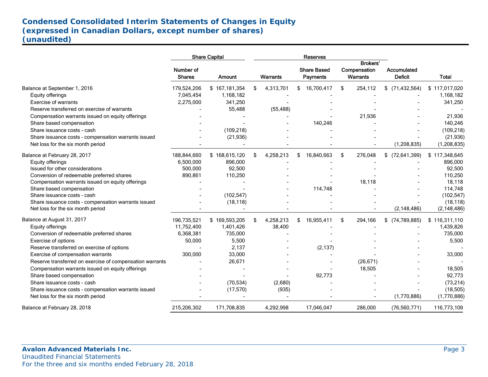# **Condensed Consolidated Interim Statements of Changes in Equity (expressed in Canadian Dollars, except number of shares) (unaudited)**

|                                                          |                            | <b>Share Capital</b> |                 | <b>Reserves</b>                       |                                      |                                      |               |
|----------------------------------------------------------|----------------------------|----------------------|-----------------|---------------------------------------|--------------------------------------|--------------------------------------|---------------|
|                                                          | Number of<br><b>Shares</b> | Amount               | <b>Warrants</b> | <b>Share Based</b><br><b>Payments</b> | Brokers'<br>Compensation<br>Warrants | <b>Accumulated</b><br><b>Deficit</b> | <b>Total</b>  |
| Balance at September 1, 2016                             | 179,524,206                | \$167,181,354        | \$<br>4,313,701 | \$<br>16,700,417                      | \$<br>254,112                        | \$<br>(71, 432, 564)                 | \$117,017,020 |
| Equity offerings                                         | 7.045.454                  | 1,168,182            |                 |                                       |                                      |                                      | 1,168,182     |
| <b>Exercise of warrants</b>                              | 2,275,000                  | 341,250              |                 |                                       |                                      |                                      | 341,250       |
| Reserve transferred on exercise of warrants              |                            | 55,488               | (55, 488)       |                                       |                                      |                                      |               |
| Compensation warrants issued on equity offerings         |                            |                      |                 |                                       | 21,936                               |                                      | 21,936        |
| Share based compensation                                 |                            |                      |                 | 140,246                               |                                      |                                      | 140,246       |
| Share issuance costs - cash                              |                            | (109, 218)           |                 |                                       |                                      |                                      | (109, 218)    |
| Share issuance costs - compensation warrants issued      |                            | (21, 936)            |                 |                                       |                                      |                                      | (21, 936)     |
| Net loss for the six month period                        |                            |                      |                 |                                       |                                      | (1, 208, 835)                        | (1, 208, 835) |
| Balance at February 28, 2017                             | 188,844,660                | \$168,615,120        | \$<br>4,258,213 | \$<br>16,840,663                      | \$<br>276,048                        | (72, 641, 399)<br>\$                 | \$117,348,645 |
| Equity offerings                                         | 6,500,000                  | 896,000              |                 |                                       |                                      |                                      | 896,000       |
| Issued for other considerations                          | 500,000                    | 92,500               |                 |                                       |                                      |                                      | 92,500        |
| Conversion of redeemable preferred shares                | 890,861                    | 110,250              |                 |                                       |                                      |                                      | 110,250       |
| Compensation warrants issued on equity offerings         |                            |                      |                 |                                       | 18,118                               |                                      | 18,118        |
| Share based compensation                                 |                            |                      |                 | 114,748                               |                                      |                                      | 114,748       |
| Share issuance costs - cash                              |                            | (102, 547)           |                 |                                       |                                      |                                      | (102, 547)    |
| Share issuance costs - compensation warrants issued      |                            | (18, 118)            |                 |                                       |                                      |                                      | (18, 118)     |
| Net loss for the six month period                        |                            |                      |                 |                                       |                                      | (2, 148, 486)                        | (2, 148, 486) |
| Balance at August 31, 2017                               | 196,735,521                | \$169,593,205        | \$<br>4,258,213 | \$<br>16,955,411                      | \$<br>294,166                        | \$<br>(74, 789, 885)                 | \$116,311,110 |
| Equity offerings                                         | 11,752,400                 | 1,401,426            | 38,400          |                                       |                                      |                                      | 1,439,826     |
| Conversion of redeemable preferred shares                | 6,368,381                  | 735,000              |                 |                                       |                                      |                                      | 735,000       |
| Exercise of options                                      | 50,000                     | 5,500                |                 |                                       |                                      |                                      | 5,500         |
| Reserve transferred on exercise of options               |                            | 2,137                |                 | (2, 137)                              |                                      |                                      |               |
| Exercise of compensation warrants                        | 300,000                    | 33,000               |                 |                                       |                                      |                                      | 33,000        |
| Reserve transferred on exercise of compensation warrants |                            | 26,671               |                 |                                       | (26, 671)                            |                                      |               |
| Compensation warrants issued on equity offerings         |                            |                      |                 |                                       | 18,505                               |                                      | 18,505        |
| Share based compensation                                 |                            |                      |                 | 92,773                                |                                      |                                      | 92,773        |
| Share issuance costs - cash                              |                            | (70, 534)            | (2,680)         |                                       |                                      |                                      | (73, 214)     |
| Share issuance costs - compensation warrants issued      |                            | (17, 570)            | (935)           |                                       |                                      |                                      | (18, 505)     |
| Net loss for the six month period                        |                            |                      |                 |                                       |                                      | (1,770,886)                          | (1,770,886)   |
| Balance at February 28, 2018                             | 215,206,302                | 171,708,835          | 4,292,998       | 17,046,047                            | 286,000                              | (76, 560, 771)                       | 116,773,109   |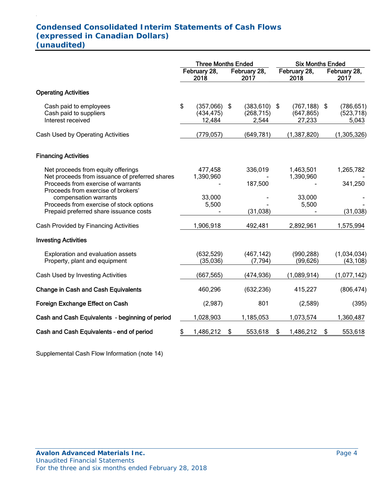# **Condensed Consolidated Interim Statements of Cash Flows (expressed in Canadian Dollars) (unaudited)**

.

|                                                                                                                                                                  | <b>Three Months Ended</b> |                                   |      |                                        | <b>Six Months Ended</b> |                                         |    |                                   |
|------------------------------------------------------------------------------------------------------------------------------------------------------------------|---------------------------|-----------------------------------|------|----------------------------------------|-------------------------|-----------------------------------------|----|-----------------------------------|
|                                                                                                                                                                  |                           | February 28,<br>2018              |      | February 28,<br>2017                   | February 28,<br>2018    |                                         |    | February 28,<br>2017              |
| <b>Operating Activities</b>                                                                                                                                      |                           |                                   |      |                                        |                         |                                         |    |                                   |
| Cash paid to employees<br>Cash paid to suppliers<br>Interest received                                                                                            | \$                        | (357,066)<br>(434, 475)<br>12,484 | - \$ | $(383, 610)$ \$<br>(268, 715)<br>2,544 |                         | $(767, 188)$ \$<br>(647, 865)<br>27,233 |    | (786, 651)<br>(523, 718)<br>5,043 |
| Cash Used by Operating Activities                                                                                                                                |                           | (779, 057)                        |      | (649, 781)                             |                         | (1, 387, 820)                           |    | (1,305,326)                       |
| <b>Financing Activities</b>                                                                                                                                      |                           |                                   |      |                                        |                         |                                         |    |                                   |
| Net proceeds from equity offerings<br>Net proceeds from issuance of preferred shares<br>Proceeds from exercise of warrants<br>Proceeds from exercise of brokers' |                           | 477,458<br>1,390,960              |      | 336,019<br>187,500                     |                         | 1,463,501<br>1,390,960                  |    | 1,265,782<br>341,250              |
| compensation warrants<br>Proceeds from exercise of stock options<br>Prepaid preferred share issuance costs                                                       |                           | 33,000<br>5,500                   |      | (31, 038)                              |                         | 33,000<br>5,500                         |    | (31, 038)                         |
| Cash Provided by Financing Activities                                                                                                                            |                           | 1,906,918                         |      | 492,481                                |                         | 2,892,961                               |    | 1,575,994                         |
| <b>Investing Activities</b>                                                                                                                                      |                           |                                   |      |                                        |                         |                                         |    |                                   |
| Exploration and evaluation assets<br>Property, plant and equipment                                                                                               |                           | (632, 529)<br>(35,036)            |      | (467, 142)<br>(7, 794)                 |                         | (990, 288)<br>(99, 626)                 |    | (1,034,034)<br>(43, 108)          |
| Cash Used by Investing Activities                                                                                                                                |                           | (667, 565)                        |      | (474, 936)                             |                         | (1,089,914)                             |    | (1,077,142)                       |
| <b>Change in Cash and Cash Equivalents</b>                                                                                                                       |                           | 460,296                           |      | (632, 236)                             |                         | 415,227                                 |    | (806, 474)                        |
| Foreign Exchange Effect on Cash                                                                                                                                  |                           | (2,987)                           |      | 801                                    |                         | (2,589)                                 |    | (395)                             |
| Cash and Cash Equivalents - beginning of period                                                                                                                  |                           | 1,028,903                         |      | 1,185,053                              |                         | 1,073,574                               |    | 1,360,487                         |
| Cash and Cash Equivalents - end of period                                                                                                                        | \$                        | 1,486,212                         | \$   | 553,618                                | \$                      | 1,486,212                               | \$ | 553,618                           |

Supplemental Cash Flow Information (note 14)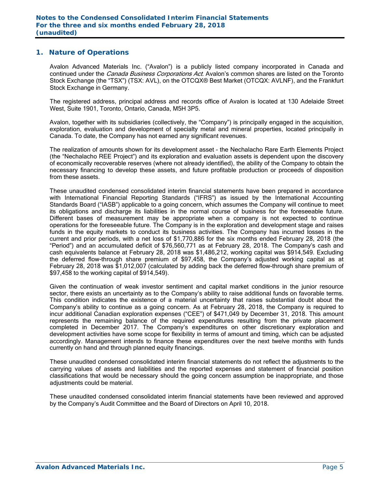#### **1. Nature of Operations**

Avalon Advanced Materials Inc. ("Avalon") is a publicly listed company incorporated in Canada and continued under the *Canada Business Corporations Act*. Avalon's common shares are listed on the Toronto Stock Exchange (the "TSX") (TSX: AVL), on the OTCQX® Best Market (OTCQX: AVLNF), and the Frankfurt Stock Exchange in Germany.

The registered address, principal address and records office of Avalon is located at 130 Adelaide Street West, Suite 1901, Toronto, Ontario, Canada, M5H 3P5.

Avalon, together with its subsidiaries (collectively, the "Company") is principally engaged in the acquisition, exploration, evaluation and development of specialty metal and mineral properties, located principally in Canada. To date, the Company has not earned any significant revenues.

The realization of amounts shown for its development asset – the Nechalacho Rare Earth Elements Project (the "Nechalacho REE Project") and its exploration and evaluation assets is dependent upon the discovery of economically recoverable reserves (where not already identified), the ability of the Company to obtain the necessary financing to develop these assets, and future profitable production or proceeds of disposition from these assets.

These unaudited condensed consolidated interim financial statements have been prepared in accordance with International Financial Reporting Standards ("IFRS") as issued by the International Accounting Standards Board ("IASB") applicable to a going concern, which assumes the Company will continue to meet its obligations and discharge its liabilities in the normal course of business for the foreseeable future. Different bases of measurement may be appropriate when a company is not expected to continue operations for the foreseeable future. The Company is in the exploration and development stage and raises funds in the equity markets to conduct its business activities. The Company has incurred losses in the current and prior periods, with a net loss of \$1,770,886 for the six months ended February 28, 2018 (the "Period") and an accumulated deficit of \$76,560,771 as at February 28, 2018. The Company's cash and cash equivalents balance at February 28, 2018 was \$1,486,212, working capital was \$914,549. Excluding the deferred flow-through share premium of \$97,458, the Company's adjusted working capital as at February 28, 2018 was \$1,012,007 (calculated by adding back the deferred flow-through share premium of \$97,458 to the working capital of \$914,549).

Given the continuation of weak investor sentiment and capital market conditions in the junior resource sector, there exists an uncertainty as to the Company's ability to raise additional funds on favorable terms. This condition indicates the existence of a material uncertainty that raises substantial doubt about the Company's ability to continue as a going concern. As at February 28, 2018, the Company is required to incur additional Canadian exploration expenses ("CEE") of \$471,049 by December 31, 2018. This amount represents the remaining balance of the required expenditures resulting from the private placement completed in December 2017. The Company's expenditures on other discretionary exploration and development activities have some scope for flexibility in terms of amount and timing, which can be adjusted accordingly. Management intends to finance these expenditures over the next twelve months with funds currently on hand and through planned equity financings.

These unaudited condensed consolidated interim financial statements do not reflect the adjustments to the carrying values of assets and liabilities and the reported expenses and statement of financial position classifications that would be necessary should the going concern assumption be inappropriate, and those adiustments could be material.

These unaudited condensed consolidated interim financial statements have been reviewed and approved by the Company's Audit Committee and the Board of Directors on April 10, 2018.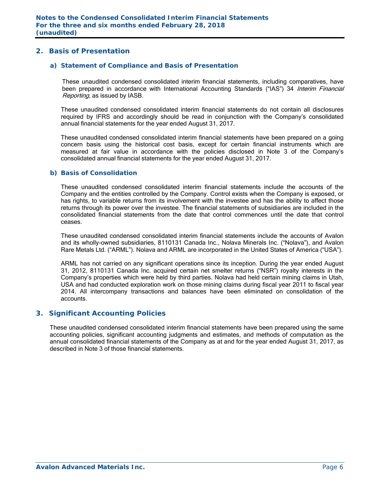## **2. Basis of Presentation**

#### *a) Statement of Compliance and Basis of Presentation*

These unaudited condensed consolidated interim financial statements, including comparatives, have been prepared in accordance with International Accounting Standards ("IAS") 34 Interim Financial Reporting, as issued by IASB.

These unaudited condensed consolidated interim financial statements do not contain all disclosures required by IFRS and accordingly should be read in conjunction with the Company's consolidated annual financial statements for the year ended August 31, 2017.

These unaudited condensed consolidated interim financial statements have been prepared on a going concern basis using the historical cost basis, except for certain financial instruments which are measured at fair value in accordance with the policies disclosed in Note 3 of the Company's consolidated annual financial statements for the year ended August 31, 2017.

#### *b) Basis of Consolidation*

These unaudited condensed consolidated interim financial statements include the accounts of the Company and the entities controlled by the Company. Control exists when the Company is exposed, or has rights, to variable returns from its involvement with the investee and has the ability to affect those returns through its power over the investee. The financial statements of subsidiaries are included in the consolidated financial statements from the date that control commences until the date that control ceases.

These unaudited condensed consolidated interim financial statements include the accounts of Avalon and its wholly-owned subsidiaries, 8110131 Canada Inc., Nolava Minerals Inc. ("Nolava"), and Avalon Rare Metals Ltd. ("ARML"). Nolava and ARML are incorporated in the United States of America ("USA").

ARML has not carried on any significant operations since its inception. During the year ended August 31, 2012, 8110131 Canada Inc. acquired certain net smelter returns ("NSR") royalty interests in the Company's properties which were held by third parties. Nolava had held certain mining claims in Utah, USA and had conducted exploration work on those mining claims during fiscal year 2011 to fiscal year 2014. All intercompany transactions and balances have been eliminated on consolidation of the accounts.

#### **3. Significant Accounting Policies**

These unaudited condensed consolidated interim financial statements have been prepared using the same accounting policies, significant accounting judgments and estimates, and methods of computation as the annual consolidated financial statements of the Company as at and for the year ended August 31, 2017, as described in Note 3 of those financial statements.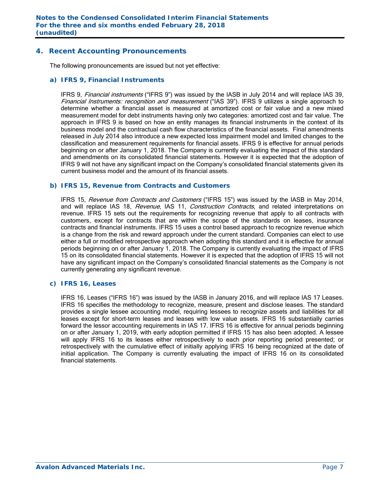## **4. Recent Accounting Pronouncements**

The following pronouncements are issued but not yet effective:

#### *a) IFRS 9, Financial Instruments*

IFRS 9, Financial instruments ("IFRS 9") was issued by the IASB in July 2014 and will replace IAS 39, Financial Instruments: recognition and measurement ("IAS 39"). IFRS 9 utilizes a single approach to determine whether a financial asset is measured at amortized cost or fair value and a new mixed measurement model for debt instruments having only two categories: amortized cost and fair value. The approach in IFRS 9 is based on how an entity manages its financial instruments in the context of its business model and the contractual cash flow characteristics of the financial assets. Final amendments released in July 2014 also introduce a new expected loss impairment model and limited changes to the classification and measurement requirements for financial assets. IFRS 9 is effective for annual periods beginning on or after January 1, 2018. The Company is currently evaluating the impact of this standard and amendments on its consolidated financial statements. However it is expected that the adoption of IFRS 9 will not have any significant impact on the Company's consolidated financial statements given its current business model and the amount of its financial assets.

#### *b) IFRS 15, Revenue from Contracts and Customers*

IFRS 15, Revenue from Contracts and Customers ("IFRS 15") was issued by the IASB in May 2014, and will replace IAS 18, Revenue, IAS 11, Construction Contracts, and related interpretations on revenue. IFRS 15 sets out the requirements for recognizing revenue that apply to all contracts with customers, except for contracts that are within the scope of the standards on leases, insurance contracts and financial instruments. IFRS 15 uses a control based approach to recognize revenue which is a change from the risk and reward approach under the current standard. Companies can elect to use either a full or modified retrospective approach when adopting this standard and it is effective for annual periods beginning on or after January 1, 2018. The Company is currently evaluating the impact of IFRS 15 on its consolidated financial statements. However it is expected that the adoption of IFRS 15 will not have any significant impact on the Company's consolidated financial statements as the Company is not currently generating any significant revenue.

#### *c) IFRS 16, Leases*

 IFRS 16, Leases ("IFRS 16") was issued by the IASB in January 2016, and will replace IAS 17 Leases. IFRS 16 specifies the methodology to recognize, measure, present and disclose leases. The standard provides a single lessee accounting model, requiring lessees to recognize assets and liabilities for all leases except for short-term leases and leases with low value assets. IFRS 16 substantially carries forward the lessor accounting requirements in IAS 17. IFRS 16 is effective for annual periods beginning on or after January 1, 2019, with early adoption permitted if IFRS 15 has also been adopted. A lessee will apply IFRS 16 to its leases either retrospectively to each prior reporting period presented; or retrospectively with the cumulative effect of initially applying IFRS 16 being recognized at the date of initial application. The Company is currently evaluating the impact of IFRS 16 on its consolidated financial statements.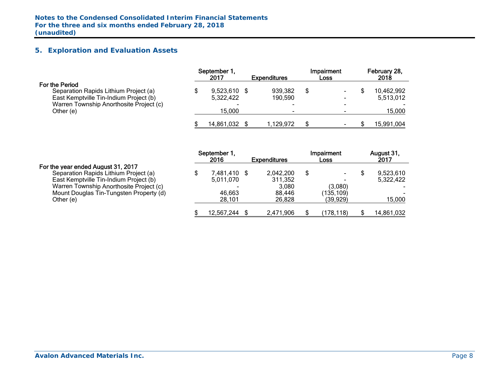# **5. Exploration and Evaluation Assets**

|                                         | September 1.<br>2017     | <b>Expenditures</b> |   | Impairment<br>Loss | February 28,<br>2018 |
|-----------------------------------------|--------------------------|---------------------|---|--------------------|----------------------|
| For the Period                          |                          |                     |   |                    |                      |
| Separation Rapids Lithium Project (a)   | $9,523,610$ \$           | 939,382             | S |                    | 10,462,992           |
| East Kemptville Tin-Indium Project (b)  | 5,322,422                | 190,590             |   |                    | 5,513,012            |
| Warren Township Anorthosite Project (c) | $\overline{\phantom{0}}$ |                     |   |                    |                      |
| Other (e)                               | 15,000                   | -                   |   |                    | 15,000               |
|                                         | 14,861,032               | 1.129.972           |   |                    | 15,991,004           |

|                                         | September 1  |                     | Impairment               | August 31, |
|-----------------------------------------|--------------|---------------------|--------------------------|------------|
|                                         | 2016         | <b>Expenditures</b> | Loss                     | 2017       |
| For the year ended August 31, 2017      |              |                     |                          |            |
| Separation Rapids Lithium Project (a)   | 7,481,410 \$ | 2,042,200           | $\overline{\phantom{a}}$ | 9,523,610  |
| East Kemptville Tin-Indium Project (b)  | 5,011,070    | 311,352             | $\overline{\phantom{0}}$ | 5,322,422  |
| Warren Township Anorthosite Project (c) |              | 3.080               | (3,080)                  |            |
| Mount Douglas Tin-Tungsten Property (d) | 46,663       | 88.446              | (135,109)                |            |
| Other (e)                               | 28,101       | 26.828              | (39, 929)                | 15,000     |
|                                         |              |                     |                          |            |
|                                         | 12,567,244   | 2,471,906           | (178.118)                | 14,861,032 |
|                                         |              |                     |                          |            |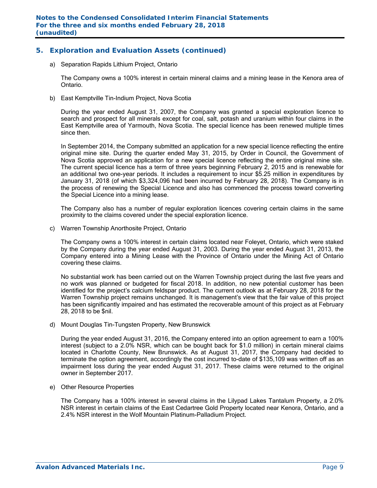## **5. Exploration and Evaluation Assets (continued)**

a) Separation Rapids Lithium Project, Ontario

The Company owns a 100% interest in certain mineral claims and a mining lease in the Kenora area of Ontario.

b) East Kemptville Tin-Indium Project, Nova Scotia

During the year ended August 31, 2007, the Company was granted a special exploration licence to search and prospect for all minerals except for coal, salt, potash and uranium within four claims in the East Kemptville area of Yarmouth, Nova Scotia. The special licence has been renewed multiple times since then.

In September 2014, the Company submitted an application for a new special licence reflecting the entire original mine site. During the quarter ended May 31, 2015, by Order in Council, the Government of Nova Scotia approved an application for a new special licence reflecting the entire original mine site. The current special licence has a term of three years beginning February 2, 2015 and is renewable for an additional two one-year periods. It includes a requirement to incur \$5.25 million in expenditures by January 31, 2018 (of which \$3,324,096 had been incurred by February 28, 2018). The Company is in the process of renewing the Special Licence and also has commenced the process toward converting the Special Licence into a mining lease.

The Company also has a number of regular exploration licences covering certain claims in the same proximity to the claims covered under the special exploration licence.

c) Warren Township Anorthosite Project, Ontario

The Company owns a 100% interest in certain claims located near Foleyet, Ontario, which were staked by the Company during the year ended August 31, 2003. During the year ended August 31, 2013, the Company entered into a Mining Lease with the Province of Ontario under the Mining Act of Ontario covering these claims.

No substantial work has been carried out on the Warren Township project during the last five years and no work was planned or budgeted for fiscal 2018. In addition, no new potential customer has been identified for the project's calcium feldspar product. The current outlook as at February 28, 2018 for the Warren Township project remains unchanged. It is management's view that the fair value of this project has been significantly impaired and has estimated the recoverable amount of this project as at February 28, 2018 to be \$nil.

d) Mount Douglas Tin-Tungsten Property, New Brunswick

During the year ended August 31, 2016, the Company entered into an option agreement to earn a 100% interest (subject to a 2.0% NSR, which can be bought back for \$1.0 million) in certain mineral claims located in Charlotte County, New Brunswick. As at August 31, 2017, the Company had decided to terminate the option agreement, accordingly the cost incurred to-date of \$135,109 was written off as an impairment loss during the year ended August 31, 2017. These claims were returned to the original owner in September 2017.

e) Other Resource Properties

The Company has a 100% interest in several claims in the Lilypad Lakes Tantalum Property, a 2.0% NSR interest in certain claims of the East Cedartree Gold Property located near Kenora, Ontario, and a 2.4% NSR interest in the Wolf Mountain Platinum-Palladium Project.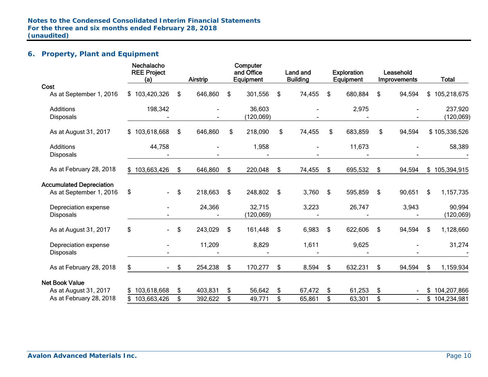# **6. Property, Plant and Equipment**

|                                 | Nechalacho<br><b>REE Project</b><br>(a) | Airstrip      | Computer<br>and Office<br>Equipment | Land and<br><b>Building</b> | <b>Exploration</b><br>Equipment | Leasehold<br>Improvements | <b>Total</b>      |
|---------------------------------|-----------------------------------------|---------------|-------------------------------------|-----------------------------|---------------------------------|---------------------------|-------------------|
| Cost                            |                                         |               |                                     |                             |                                 |                           |                   |
| As at September 1, 2016         | \$103,420,326                           | \$<br>646,860 | \$<br>301,556                       | \$<br>74,455                | \$<br>680,884                   | \$<br>94,594              | \$<br>105,218,675 |
| <b>Additions</b>                | 198,342                                 |               | 36,603                              |                             | 2,975                           |                           | 237,920           |
| <b>Disposals</b>                |                                         |               | (120, 069)                          |                             |                                 |                           | (120, 069)        |
| As at August 31, 2017           | \$103,618,668                           | \$<br>646,860 | \$<br>218,090                       | \$<br>74,455                | \$<br>683,859                   | \$<br>94,594              | \$105,336,526     |
| <b>Additions</b>                | 44,758                                  |               | 1,958                               |                             | 11,673                          |                           | 58,389            |
| <b>Disposals</b>                |                                         |               |                                     |                             |                                 |                           |                   |
| As at February 28, 2018         | \$103,663,426                           | \$<br>646,860 | \$<br>220,048                       | \$<br>74,455                | \$<br>695,532                   | \$<br>94,594              | \$<br>105,394,915 |
| <b>Accumulated Depreciation</b> |                                         |               |                                     |                             |                                 |                           |                   |
| As at September 1, 2016         | \$<br>$\blacksquare$                    | \$<br>218,663 | \$<br>248,802                       | \$<br>3,760                 | \$<br>595,859                   | \$<br>90,651              | \$<br>1,157,735   |
| Depreciation expense            |                                         | 24,366        | 32,715                              | 3,223                       | 26,747                          | 3,943                     | 90,994            |
| <b>Disposals</b>                |                                         |               | (120,069)                           |                             |                                 |                           | (120, 069)        |
| As at August 31, 2017           | \$                                      | \$<br>243,029 | \$<br>161,448                       | \$<br>6,983                 | \$<br>622,606                   | \$<br>94,594              | \$<br>1,128,660   |
| Depreciation expense            |                                         | 11,209        | 8,829                               | 1,611                       | 9,625                           |                           | 31,274            |
| <b>Disposals</b>                |                                         |               |                                     |                             |                                 |                           |                   |
| As at February 28, 2018         | S.<br>$\blacksquare$                    | \$<br>254,238 | \$<br>170,277                       | \$<br>8,594                 | \$<br>632,231                   | \$<br>94,594              | \$<br>1,159,934   |
| <b>Net Book Value</b>           |                                         |               |                                     |                             |                                 |                           |                   |
| As at August 31, 2017           | \$103,618,668                           | \$<br>403,831 | \$<br>56,642                        | \$<br>67,472                | \$<br>61,253                    | \$                        | \$<br>104,207,866 |
| As at February 28, 2018         | 103,663,426                             | \$<br>392,622 | \$<br>49,771                        | \$<br>65,861                | \$<br>63,301                    | \$                        | \$<br>104,234,981 |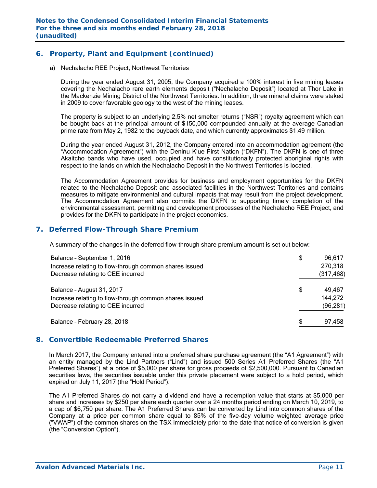## **6. Property, Plant and Equipment (continued)**

a) Nechalacho REE Project, Northwest Territories

During the year ended August 31, 2005, the Company acquired a 100% interest in five mining leases covering the Nechalacho rare earth elements deposit ("Nechalacho Deposit") located at Thor Lake in the Mackenzie Mining District of the Northwest Territories. In addition, three mineral claims were staked in 2009 to cover favorable geology to the west of the mining leases.

The property is subject to an underlying 2.5% net smelter returns ("NSR") royalty agreement which can be bought back at the principal amount of \$150,000 compounded annually at the average Canadian prime rate from May 2, 1982 to the buyback date, and which currently approximates \$1.49 million.

During the year ended August 31, 2012, the Company entered into an accommodation agreement (the "Accommodation Agreement") with the Deninu K'ue First Nation ("DKFN"). The DKFN is one of three Akaitcho bands who have used, occupied and have constitutionally protected aboriginal rights with respect to the lands on which the Nechalacho Deposit in the Northwest Territories is located.

The Accommodation Agreement provides for business and employment opportunities for the DKFN related to the Nechalacho Deposit and associated facilities in the Northwest Territories and contains measures to mitigate environmental and cultural impacts that may result from the project development. The Accommodation Agreement also commits the DKFN to supporting timely completion of the environmental assessment, permitting and development processes of the Nechalacho REE Project, and provides for the DKFN to participate in the project economics.

## **7. Deferred Flow-Through Share Premium**

A summary of the changes in the deferred flow-through share premium amount is set out below:

| Balance - September 1, 2016<br>Increase relating to flow-through common shares issued<br>Decrease relating to CEE incurred | \$  | 96,617<br>270,318<br>(317, 468) |
|----------------------------------------------------------------------------------------------------------------------------|-----|---------------------------------|
| Balance - August 31, 2017<br>Increase relating to flow-through common shares issued<br>Decrease relating to CEE incurred   | \$  | 49,467<br>144,272<br>(96, 281)  |
| Balance - February 28, 2018                                                                                                | \$. | 97,458                          |

## **8. Convertible Redeemable Preferred Shares**

In March 2017, the Company entered into a preferred share purchase agreement (the "A1 Agreement") with an entity managed by the Lind Partners ("Lind") and issued 500 Series A1 Preferred Shares (the "A1 Preferred Shares") at a price of \$5,000 per share for gross proceeds of \$2,500,000. Pursuant to Canadian securities laws, the securities issuable under this private placement were subject to a hold period, which expired on July 11, 2017 (the "Hold Period").

The A1 Preferred Shares do not carry a dividend and have a redemption value that starts at \$5,000 per share and increases by \$250 per share each quarter over a 24 months period ending on March 10, 2019, to a cap of \$6,750 per share. The A1 Preferred Shares can be converted by Lind into common shares of the Company at a price per common share equal to 85% of the five-day volume weighted average price ("VWAP") of the common shares on the TSX immediately prior to the date that notice of conversion is given (the "Conversion Option").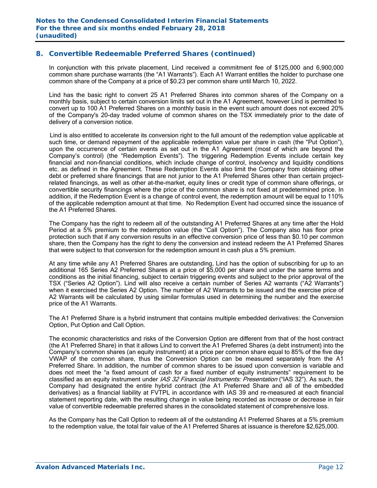## **8. Convertible Redeemable Preferred Shares (continued)**

In conjunction with this private placement, Lind received a commitment fee of \$125,000 and 6,900,000 common share purchase warrants (the "A1 Warrants"). Each A1 Warrant entitles the holder to purchase one common share of the Company at a price of \$0.23 per common share until March 10, 2022.

Lind has the basic right to convert 25 A1 Preferred Shares into common shares of the Company on a monthly basis, subject to certain conversion limits set out in the A1 Agreement, however Lind is permitted to convert up to 100 A1 Preferred Shares on a monthly basis in the event such amount does not exceed 20% of the Company's 20-day traded volume of common shares on the TSX immediately prior to the date of delivery of a conversion notice.

 Lind is also entitled to accelerate its conversion right to the full amount of the redemption value applicable at such time, or demand repayment of the applicable redemption value per share in cash (the "Put Option"), upon the occurrence of certain events as set out in the A1 Agreement (most of which are beyond the Company's control) (the "Redemption Events"). The triggering Redemption Events include certain key financial and non-financial conditions, which include change of control, insolvency and liquidity conditions etc. as defined in the Agreement. These Redemption Events also limit the Company from obtaining other debt or preferred share financings that are not junior to the A1 Preferred Shares other than certain projectrelated financings, as well as other at-the-market, equity lines or credit type of common share offerings, or convertible security financings where the price of the common share is not fixed at predetermined price. In addition, if the Redemption Event is a change of control event, the redemption amount will be equal to 110% of the applicable redemption amount at that time. No Redemption Event had occurred since the issuance of the A1 Preferred Shares.

The Company has the right to redeem all of the outstanding A1 Preferred Shares at any time after the Hold Period at a 5% premium to the redemption value (the "Call Option"). The Company also has floor price protection such that if any conversion results in an effective conversion price of less than \$0.10 per common share, then the Company has the right to deny the conversion and instead redeem the A1 Preferred Shares that were subject to that conversion for the redemption amount in cash plus a 5% premium.

At any time while any A1 Preferred Shares are outstanding, Lind has the option of subscribing for up to an additional 165 Series A2 Preferred Shares at a price of \$5,000 per share and under the same terms and conditions as the initial financing, subject to certain triggering events and subject to the prior approval of the TSX ("Series A2 Option"). Lind will also receive a certain number of Series A2 warrants ("A2 Warrants") when it exercised the Series A2 Option. The number of A2 Warrants to be issued and the exercise price of A2 Warrants will be calculated by using similar formulas used in determining the number and the exercise price of the A1 Warrants.

The A1 Preferred Share is a hybrid instrument that contains multiple embedded derivatives: the Conversion Option, Put Option and Call Option.

The economic characteristics and risks of the Conversion Option are different from that of the host contract (the A1 Preferred Share) in that it allows Lind to convert the A1 Preferred Shares (a debt instrument) into the Company's common shares (an equity instrument) at a price per common share equal to 85% of the five day VWAP of the common share, thus the Conversion Option can be measured separately from the A1 Preferred Share. In addition, the number of common shares to be issued upon conversion is variable and does not meet the "a fixed amount of cash for a fixed number of equity instruments" requirement to be classified as an equity instrument under IAS 32 Financial Instruments: Presentation ("IAS 32"). As such, the Company had designated the entire hybrid contract (the A1 Preferred Share and all of the embedded derivatives) as a financial liability at FVTPL in accordance with IAS 39 and re-measured at each financial statement reporting date, with the resulting change in value being recorded as increase or decrease in fair value of convertible redeemable preferred shares in the consolidated statement of comprehensive loss.

As the Company has the Call Option to redeem all of the outstanding A1 Preferred Shares at a 5% premium to the redemption value, the total fair value of the A1 Preferred Shares at issuance is therefore \$2,625,000.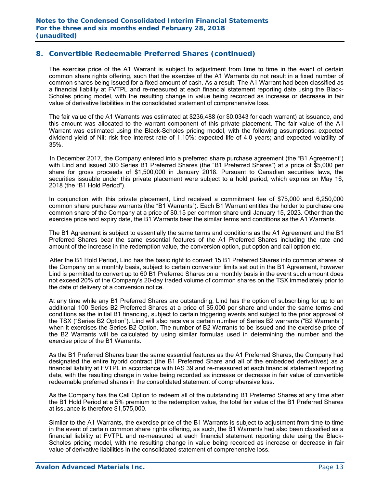## **8. Convertible Redeemable Preferred Shares (continued)**

The exercise price of the A1 Warrant is subject to adjustment from time to time in the event of certain common share rights offering, such that the exercise of the A1 Warrants do not result in a fixed number of common shares being issued for a fixed amount of cash. As a result, The A1 Warrant had been classified as a financial liability at FVTPL and re-measured at each financial statement reporting date using the Black-Scholes pricing model, with the resulting change in value being recorded as increase or decrease in fair value of derivative liabilities in the consolidated statement of comprehensive loss.

 The fair value of the A1 Warrants was estimated at \$236,488 (or \$0.0343 for each warrant) at issuance, and this amount was allocated to the warrant component of this private placement. The fair value of the A1 Warrant was estimated using the Black-Scholes pricing model, with the following assumptions: expected dividend yield of Nil; risk free interest rate of 1.10%; expected life of 4.0 years; and expected volatility of 35%.

 In December 2017, the Company entered into a preferred share purchase agreement (the "B1 Agreement") with Lind and issued 300 Series B1 Preferred Shares (the "B1 Preferred Shares") at a price of \$5,000 per share for gross proceeds of \$1,500,000 in January 2018. Pursuant to Canadian securities laws, the securities issuable under this private placement were subject to a hold period, which expires on May 16, 2018 (the "B1 Hold Period").

In conjunction with this private placement, Lind received a commitment fee of \$75,000 and 6,250,000 common share purchase warrants (the "B1 Warrants"). Each B1 Warrant entitles the holder to purchase one common share of the Company at a price of \$0.15 per common share until January 15, 2023. Other than the exercise price and expiry date, the B1 Warrants bear the similar terms and conditions as the A1 Warrants.

The B1 Agreement is subject to essentially the same terms and conditions as the A1 Agreement and the B1 Preferred Shares bear the same essential features of the A1 Preferred Shares including the rate and amount of the increase in the redemption value, the conversion option, put option and call option etc.

 After the B1 Hold Period, Lind has the basic right to convert 15 B1 Preferred Shares into common shares of the Company on a monthly basis, subject to certain conversion limits set out in the B1 Agreement, however Lind is permitted to convert up to 60 B1 Preferred Shares on a monthly basis in the event such amount does not exceed 20% of the Company's 20-day traded volume of common shares on the TSX immediately prior to the date of delivery of a conversion notice.

At any time while any B1 Preferred Shares are outstanding, Lind has the option of subscribing for up to an additional 100 Series B2 Preferred Shares at a price of \$5,000 per share and under the same terms and conditions as the initial B1 financing, subject to certain triggering events and subject to the prior approval of the TSX ("Series B2 Option"). Lind will also receive a certain number of Series B2 warrants ("B2 Warrants") when it exercises the Series B2 Option. The number of B2 Warrants to be issued and the exercise price of the B2 Warrants will be calculated by using similar formulas used in determining the number and the exercise price of the B1 Warrants.

As the B1 Preferred Shares bear the same essential features as the A1 Preferred Shares, the Company had designated the entire hybrid contract (the B1 Preferred Share and all of the embedded derivatives) as a financial liability at FVTPL in accordance with IAS 39 and re-measured at each financial statement reporting date, with the resulting change in value being recorded as increase or decrease in fair value of convertible redeemable preferred shares in the consolidated statement of comprehensive loss.

As the Company has the Call Option to redeem all of the outstanding B1 Preferred Shares at any time after the B1 Hold Period at a 5% premium to the redemption value, the total fair value of the B1 Preferred Shares at issuance is therefore \$1,575,000.

Similar to the A1 Warrants, the exercise price of the B1 Warrants is subject to adjustment from time to time in the event of certain common share rights offering, as such, the B1 Warrants had also been classified as a financial liability at FVTPL and re-measured at each financial statement reporting date using the Black-Scholes pricing model, with the resulting change in value being recorded as increase or decrease in fair value of derivative liabilities in the consolidated statement of comprehensive loss.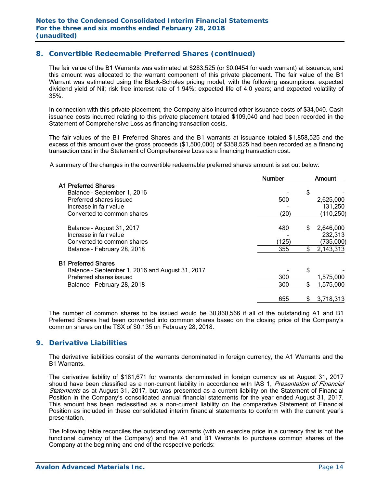## **8. Convertible Redeemable Preferred Shares (continued)**

 The fair value of the B1 Warrants was estimated at \$283,525 (or \$0.0454 for each warrant) at issuance, and this amount was allocated to the warrant component of this private placement. The fair value of the B1 Warrant was estimated using the Black-Scholes pricing model, with the following assumptions: expected dividend yield of Nil; risk free interest rate of 1.94%; expected life of 4.0 years; and expected volatility of 35%.

 In connection with this private placement, the Company also incurred other issuance costs of \$34,040. Cash issuance costs incurred relating to this private placement totaled \$109,040 and had been recorded in the Statement of Comprehensive Loss as financing transaction costs.

The fair values of the B1 Preferred Shares and the B1 warrants at issuance totaled \$1,858,525 and the excess of this amount over the gross proceeds (\$1,500,000) of \$358,525 had been recorded as a financing transaction cost in the Statement of Comprehensive Loss as a financing transaction cost.

A summary of the changes in the convertible redeemable preferred shares amount is set out below:

|                                                 | <b>Number</b> | Amount          |
|-------------------------------------------------|---------------|-----------------|
| <b>A1 Preferred Shares</b>                      |               |                 |
| Balance - September 1, 2016                     |               | \$              |
| Preferred shares issued                         | 500           | 2,625,000       |
| Increase in fair value                          |               | 131,250         |
| Converted to common shares                      | (20)          | (110, 250)      |
| Balance - August 31, 2017                       | 480           | 2,646,000<br>S  |
| Increase in fair value                          |               | 232,313         |
| Converted to common shares                      | (125)         | (735,000)       |
| Balance - February 28, 2018                     | 355           | \$<br>2,143,313 |
| <b>B1 Preferred Shares</b>                      |               |                 |
| Balance - September 1, 2016 and August 31, 2017 |               | \$              |
| Preferred shares issued                         | 300           | 1,575,000       |
| Balance - February 28, 2018                     | 300           | \$<br>1,575,000 |
|                                                 | 655           | 3,718,313<br>\$ |

The number of common shares to be issued would be 30,860,566 if all of the outstanding A1 and B1 Preferred Shares had been converted into common shares based on the closing price of the Company's common shares on the TSX of \$0.135 on February 28, 2018.

## **9. Derivative Liabilities**

The derivative liabilities consist of the warrants denominated in foreign currency, the A1 Warrants and the B1 Warrants.

The derivative liability of \$181,671 for warrants denominated in foreign currency as at August 31, 2017 should have been classified as a non-current liability in accordance with IAS 1, Presentation of Financial Statements as at August 31, 2017, but was presented as a current liability on the Statement of Financial Position in the Company's consolidated annual financial statements for the year ended August 31, 2017. This amount has been reclassified as a non-current liability on the comparative Statement of Financial Position as included in these consolidated interim financial statements to conform with the current year's presentation.

The following table reconciles the outstanding warrants (with an exercise price in a currency that is not the functional currency of the Company) and the A1 and B1 Warrants to purchase common shares of the Company at the beginning and end of the respective periods: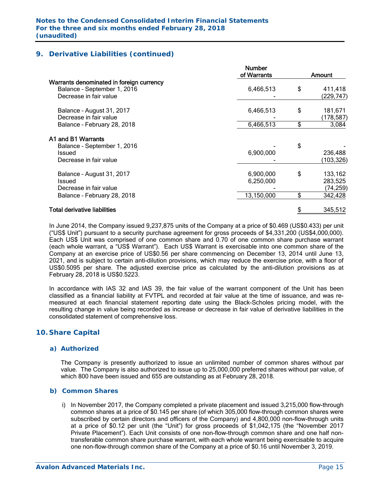# **9. Derivative Liabilities (continued)**

|                                                                                                   | <b>Number</b><br>of Warrants | Amount                                |
|---------------------------------------------------------------------------------------------------|------------------------------|---------------------------------------|
| Warrants denominated in foreign currency<br>Balance - September 1, 2016<br>Decrease in fair value | 6,466,513                    | \$<br>411,418<br>(229,747)            |
| Balance - August 31, 2017<br>Decrease in fair value                                               | 6,466,513                    | \$<br>181,671<br>(178, 587)           |
| Balance - February 28, 2018                                                                       | 6,466,513                    | \$<br>3,084                           |
| A1 and B1 Warrants<br>Balance - September 1, 2016<br>Issued<br>Decrease in fair value             | 6,900,000                    | \$<br>236,488<br>(103,326)            |
| Balance - August 31, 2017<br>Issued<br>Decrease in fair value                                     | 6,900,000<br>6,250,000       | \$<br>133,162<br>283,525<br>(74, 259) |
| Balance - February 28, 2018                                                                       | 13,150,000                   | \$<br>342,428                         |
| <b>Total derivative liabilities</b>                                                               |                              | 345,512                               |
|                                                                                                   |                              |                                       |

In June 2014, the Company issued 9,237,875 units of the Company at a price of \$0.469 (US\$0.433) per unit ("US\$ Unit") pursuant to a security purchase agreement for gross proceeds of \$4,331,200 (US\$4,000,000). Each US\$ Unit was comprised of one common share and 0.70 of one common share purchase warrant (each whole warrant, a "US\$ Warrant"). Each US\$ Warrant is exercisable into one common share of the Company at an exercise price of US\$0.56 per share commencing on December 13, 2014 until June 13, 2021, and is subject to certain anti-dilution provisions, which may reduce the exercise price, with a floor of US\$0.5095 per share. The adjusted exercise price as calculated by the anti-dilution provisions as at February 28, 2018 is US\$0.5223.

In accordance with IAS 32 and IAS 39, the fair value of the warrant component of the Unit has been classified as a financial liability at FVTPL and recorded at fair value at the time of issuance, and was remeasured at each financial statement reporting date using the Black-Scholes pricing model, with the resulting change in value being recorded as increase or decrease in fair value of derivative liabilities in the consolidated statement of comprehensive loss.

# **10. Share Capital**

#### *a) Authorized*

The Company is presently authorized to issue an unlimited number of common shares without par value. The Company is also authorized to issue up to 25,000,000 preferred shares without par value, of which 800 have been issued and 655 are outstanding as at February 28, 2018.

#### *b) Common Shares*

i) In November 2017, the Company completed a private placement and issued 3,215,000 flow-through common shares at a price of \$0.145 per share (of which 305,000 flow-through common shares were subscribed by certain directors and officers of the Company) and 4,800,000 non-flow-through units at a price of \$0.12 per unit (the "Unit") for gross proceeds of \$1,042,175 (the "November 2017 Private Placement"). Each Unit consists of one non-flow-through common share and one half nontransferable common share purchase warrant, with each whole warrant being exercisable to acquire one non-flow-through common share of the Company at a price of \$0.16 until November 3, 2019.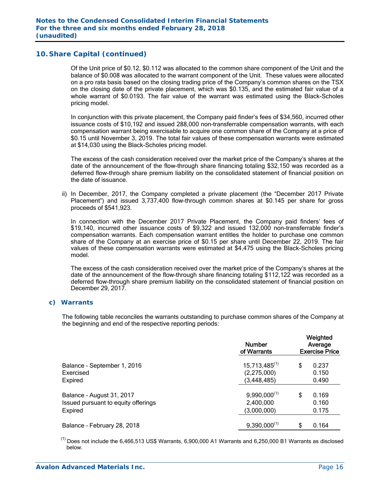Of the Unit price of \$0.12, \$0.112 was allocated to the common share component of the Unit and the balance of \$0.008 was allocated to the warrant component of the Unit. These values were allocated on a pro rata basis based on the closing trading price of the Company's common shares on the TSX on the closing date of the private placement, which was \$0.135, and the estimated fair value of a whole warrant of \$0.0193. The fair value of the warrant was estimated using the Black-Scholes pricing model.

In conjunction with this private placement, the Company paid finder's fees of \$34,560, incurred other issuance costs of \$10,192 and issued 288,000 non-transferrable compensation warrants, with each compensation warrant being exercisable to acquire one common share of the Company at a price of \$0.15 until November 3, 2019. The total fair values of these compensation warrants were estimated at \$14,030 using the Black-Scholes pricing model.

 The excess of the cash consideration received over the market price of the Company's shares at the date of the announcement of the flow-through share financing totaling \$32,150 was recorded as a deferred flow-through share premium liability on the consolidated statement of financial position on the date of issuance.

ii) In December, 2017, the Company completed a private placement (the "December 2017 Private Placement") and issued 3,737,400 flow-through common shares at \$0.145 per share for gross proceeds of \$541,923.

In connection with the December 2017 Private Placement, the Company paid finders' fees of \$19,140, incurred other issuance costs of \$9,322 and issued 132,000 non-transferrable finder's compensation warrants. Each compensation warrant entitles the holder to purchase one common share of the Company at an exercise price of \$0.15 per share until December 22, 2019. The fair values of these compensation warrants were estimated at \$4,475 using the Black-Scholes pricing model.

 The excess of the cash consideration received over the market price of the Company's shares at the date of the announcement of the flow-through share financing totaling \$112,122 was recorded as a deferred flow-through share premium liability on the consolidated statement of financial position on December 29, 2017.

#### *c) Warrants*

The following table reconciles the warrants outstanding to purchase common shares of the Company at the beginning and end of the respective reporting periods:

|                                     | <b>Number</b><br>of Warrants | Weighted<br>Average<br><b>Exercise Price</b> |       |  |  |
|-------------------------------------|------------------------------|----------------------------------------------|-------|--|--|
| Balance - September 1, 2016         | $15,713,485^{(1)}$           | \$                                           | 0.237 |  |  |
| Exercised                           | (2,275,000)                  |                                              | 0.150 |  |  |
| Expired                             | (3, 448, 485)                |                                              | 0.490 |  |  |
| Balance - August 31, 2017           | $9,990,000^{(1)}$            | \$                                           | 0.169 |  |  |
| Issued pursuant to equity offerings | 2,400,000                    |                                              | 0.160 |  |  |
| Expired                             | (3,000,000)                  |                                              | 0.175 |  |  |
| Balance - February 28, 2018         | $9,390,000^{(1)}$            | \$                                           | 0.164 |  |  |

 $<sup>(1)</sup>$  Does not include the 6,466,513 US\$ Warrants, 6,900,000 A1 Warrants and 6,250,000 B1 Warrants as disclosed</sup> below.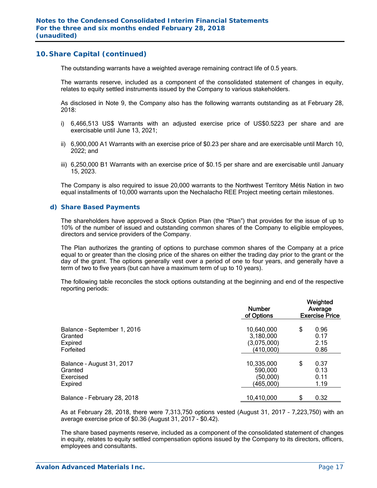The outstanding warrants have a weighted average remaining contract life of 0.5 years.

The warrants reserve, included as a component of the consolidated statement of changes in equity, relates to equity settled instruments issued by the Company to various stakeholders.

As disclosed in Note 9, the Company also has the following warrants outstanding as at February 28, 2018:

- i) 6,466,513 US\$ Warrants with an adjusted exercise price of US\$0.5223 per share and are exercisable until June 13, 2021;
- ii) 6,900,000 A1 Warrants with an exercise price of \$0.23 per share and are exercisable until March 10, 2022; and
- iii) 6,250,000 B1 Warrants with an exercise price of \$0.15 per share and are exercisable until January 15, 2023.

The Company is also required to issue 20,000 warrants to the Northwest Territory Métis Nation in two equal installments of 10,000 warrants upon the Nechalacho REE Project meeting certain milestones.

#### *d) Share Based Payments*

The shareholders have approved a Stock Option Plan (the "Plan") that provides for the issue of up to 10% of the number of issued and outstanding common shares of the Company to eligible employees, directors and service providers of the Company.

The Plan authorizes the granting of options to purchase common shares of the Company at a price equal to or greater than the closing price of the shares on either the trading day prior to the grant or the day of the grant. The options generally vest over a period of one to four years, and generally have a term of two to five years (but can have a maximum term of up to 10 years).

The following table reconciles the stock options outstanding at the beginning and end of the respective reporting periods:

|                             | <b>Number</b><br>of Options | Weighted<br>Average<br><b>Exercise Price</b> |      |  |  |
|-----------------------------|-----------------------------|----------------------------------------------|------|--|--|
| Balance - September 1, 2016 | 10,640,000                  | \$                                           | 0.96 |  |  |
| Granted                     | 3,180,000                   |                                              | 0.17 |  |  |
| Expired                     | (3,075,000)                 |                                              | 2.15 |  |  |
| Forfeited                   | (410,000)                   |                                              | 0.86 |  |  |
| Balance - August 31, 2017   | 10,335,000                  | \$                                           | 0.37 |  |  |
| Granted                     | 590,000                     |                                              | 0.13 |  |  |
| Exercised                   | (50,000)                    |                                              | 0.11 |  |  |
| Expired                     | (465,000)                   |                                              | 1.19 |  |  |
| Balance - February 28, 2018 | 10,410,000                  | \$                                           | 0.32 |  |  |

As at February 28, 2018, there were 7,313,750 options vested (August 31, 2017 – 7,223,750) with an average exercise price of \$0.36 (August 31, 2017 - \$0.42).

The share based payments reserve, included as a component of the consolidated statement of changes in equity, relates to equity settled compensation options issued by the Company to its directors, officers, employees and consultants.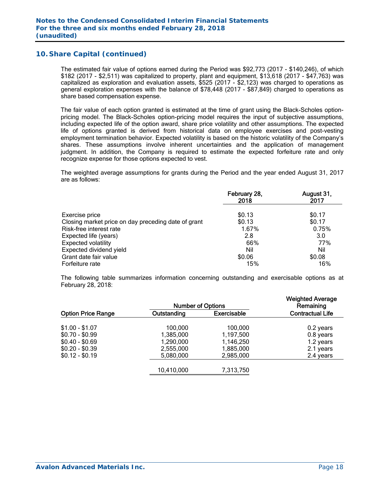The estimated fair value of options earned during the Period was \$92,773 (2017 - \$140,246), of which \$182 (2017 - \$2,511) was capitalized to property, plant and equipment, \$13,618 (2017 - \$47,763) was capitalized as exploration and evaluation assets, \$525 (2017 - \$2,123) was charged to operations as general exploration expenses with the balance of \$78,448 (2017 - \$87,849) charged to operations as share based compensation expense.

The fair value of each option granted is estimated at the time of grant using the Black-Scholes optionpricing model. The Black-Scholes option-pricing model requires the input of subjective assumptions, including expected life of the option award, share price volatility and other assumptions. The expected life of options granted is derived from historical data on employee exercises and post-vesting employment termination behavior. Expected volatility is based on the historic volatility of the Company's shares. These assumptions involve inherent uncertainties and the application of management judgment. In addition, the Company is required to estimate the expected forfeiture rate and only recognize expense for those options expected to vest.

The weighted average assumptions for grants during the Period and the year ended August 31, 2017 are as follows:

|                                                     | February 28,<br>2018 | August 31,<br>2017 |
|-----------------------------------------------------|----------------------|--------------------|
| Exercise price                                      | \$0.13               | \$0.17             |
| Closing market price on day preceding date of grant | \$0.13               | \$0.17             |
| Risk-free interest rate                             | 1.67%                | 0.75%              |
| Expected life (years)                               | 2.8                  | 3.0                |
| <b>Expected volatility</b>                          | 66%                  | 77%                |
| Expected dividend yield                             | Nil                  | Nil                |
| Grant date fair value                               | \$0.06               | \$0.08             |
| Forfeiture rate                                     | 15%                  | 16%                |

The following table summarizes information concerning outstanding and exercisable options as at February 28, 2018:

|                           | <b>Weighted Average</b><br>Remaining |                    |                         |
|---------------------------|--------------------------------------|--------------------|-------------------------|
| <b>Option Price Range</b> | Outstanding                          | <b>Exercisable</b> | <b>Contractual Life</b> |
| $$1.00 - $1.07$           | 100,000                              | 100,000            | 0.2 years               |
| $$0.70 - $0.99$           | 1,385,000                            | 1,197,500          | 0.8 years               |
| $$0.40 - $0.69$           | 1,290,000                            | 1,146,250          | 1.2 years               |
| $$0.20 - $0.39$           | 2,555,000                            | 1,885,000          | 2.1 years               |
| $$0.12 - $0.19$           | 5,080,000                            | 2,985,000          | 2.4 years               |
|                           | 10,410,000                           | 7,313,750          |                         |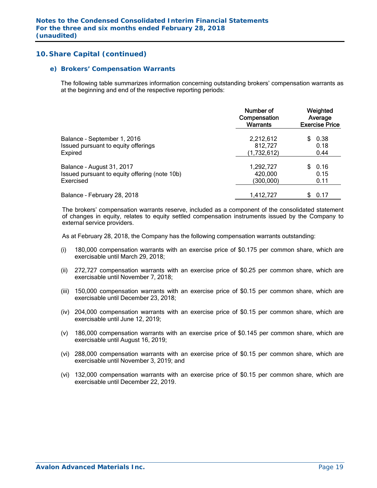#### *e) Brokers' Compensation Warrants*

The following table summarizes information concerning outstanding brokers' compensation warrants as at the beginning and end of the respective reporting periods:

|                                               | Number of<br>Compensation<br><b>Warrants</b> | Weighted<br>Average<br><b>Exercise Price</b> |  |  |  |
|-----------------------------------------------|----------------------------------------------|----------------------------------------------|--|--|--|
| Balance - September 1, 2016                   | 2,212,612                                    | 0.38                                         |  |  |  |
| Issued pursuant to equity offerings           | 812,727                                      | 0.18                                         |  |  |  |
| Expired                                       | (1,732,612)                                  | 0.44                                         |  |  |  |
| Balance - August 31, 2017                     | 1,292,727                                    | 0.16                                         |  |  |  |
| Issued pursuant to equity offering (note 10b) | 420,000                                      | 0.15                                         |  |  |  |
| Exercised                                     | (300,000)                                    | 0.11                                         |  |  |  |
| Balance - February 28, 2018                   | 1,412,727                                    | 0.17                                         |  |  |  |

The brokers' compensation warrants reserve, included as a component of the consolidated statement of changes in equity, relates to equity settled compensation instruments issued by the Company to external service providers.

As at February 28, 2018, the Company has the following compensation warrants outstanding:

- (i) 180,000 compensation warrants with an exercise price of \$0.175 per common share, which are exercisable until March 29, 2018;
- (ii) 272,727 compensation warrants with an exercise price of \$0.25 per common share, which are exercisable until November 7, 2018;
- (iii) 150,000 compensation warrants with an exercise price of \$0.15 per common share, which are exercisable until December 23, 2018;
- (iv) 204,000 compensation warrants with an exercise price of \$0.15 per common share, which are exercisable until June 12, 2019;
- (v) 186,000 compensation warrants with an exercise price of \$0.145 per common share, which are exercisable until August 16, 2019;
- (vi) 288,000 compensation warrants with an exercise price of \$0.15 per common share, which are exercisable until November 3, 2019; and
- (vi) 132,000 compensation warrants with an exercise price of \$0.15 per common share, which are exercisable until December 22, 2019.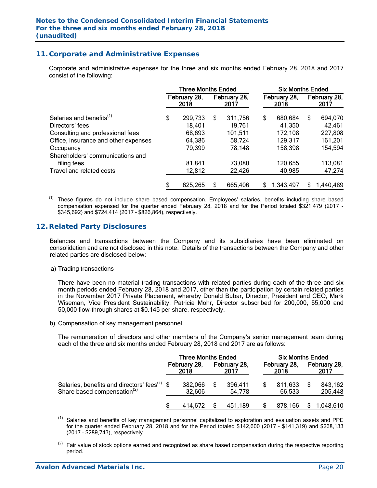## **11. Corporate and Administrative Expenses**

 Corporate and administrative expenses for the three and six months ended February 28, 2018 and 2017 consist of the following:

|                                      | <b>Three Months Ended</b> |         |                      |         |                      | <b>Six Months Ended</b> |                      |           |  |  |
|--------------------------------------|---------------------------|---------|----------------------|---------|----------------------|-------------------------|----------------------|-----------|--|--|
|                                      | February 28,<br>2018      |         | February 28,<br>2017 |         | February 28,<br>2018 |                         | February 28,<br>2017 |           |  |  |
| Salaries and benefits <sup>(1)</sup> | \$                        | 299,733 | S                    | 311,756 | \$                   | 680,684                 | \$                   | 694,070   |  |  |
| Directors' fees                      |                           | 18,401  |                      | 19.761  |                      | 41,350                  |                      | 42,461    |  |  |
| Consulting and professional fees     |                           | 68,693  |                      | 101,511 |                      | 172,108                 |                      | 227,808   |  |  |
| Office, insurance and other expenses |                           | 64,386  |                      | 58,724  |                      | 129,317                 |                      | 161,201   |  |  |
| Occupancy                            |                           | 79,399  |                      | 78,148  |                      | 158,398                 |                      | 154,594   |  |  |
| Shareholders' communications and     |                           |         |                      |         |                      |                         |                      |           |  |  |
| filing fees                          |                           | 81,841  |                      | 73,080  |                      | 120,655                 |                      | 113,081   |  |  |
| Travel and related costs             |                           | 12,812  |                      | 22,426  |                      | 40,985                  |                      | 47,274    |  |  |
|                                      | \$                        | 625,265 | S                    | 665,406 | S                    | 1,343,497               | S.                   | 1,440,489 |  |  |

(1) These figures do not include share based compensation. Employees' salaries, benefits including share based compensation expensed for the quarter ended February 28, 2018 and for the Period totaled \$321,479 (2017 - \$345,692) and \$724,414 (2017 – \$826,864), respectively.

#### **12. Related Party Disclosures**

Balances and transactions between the Company and its subsidiaries have been eliminated on consolidation and are not disclosed in this note. Details of the transactions between the Company and other related parties are disclosed below:

a) Trading transactions

There have been no material trading transactions with related parties during each of the three and six month periods ended February 28, 2018 and 2017, other than the participation by certain related parties in the November 2017 Private Placement, whereby Donald Bubar, Director, President and CEO, Mark Wiseman, Vice President Sustainability, Patricia Mohr, Director subscribed for 200,000, 55,000 and 50,000 flow-through shares at \$0.145 per share, respectively.

b) Compensation of key management personnel

The remuneration of directors and other members of the Company's senior management team during each of the three and six months ended February 28, 2018 and 2017 are as follows:

|                                                                                            | <b>Three Months Ended</b> |                      |  |                      |                      | <b>Six Months Ended</b> |                      |                    |  |  |  |
|--------------------------------------------------------------------------------------------|---------------------------|----------------------|--|----------------------|----------------------|-------------------------|----------------------|--------------------|--|--|--|
|                                                                                            |                           | February 28,<br>2018 |  | February 28,<br>2017 | February 28,<br>2018 |                         | February 28,<br>2017 |                    |  |  |  |
| Salaries, benefits and directors' fees <sup>(1)</sup> \$<br>Share based compensation $(2)$ |                           | 382,066<br>32.606    |  | 396,411<br>54.778    |                      | 811,633<br>66.533       |                      | 843,162<br>205,448 |  |  |  |
|                                                                                            |                           | 414.672              |  | 451.189              |                      | 878.166                 |                      | 1,048,610          |  |  |  |

 $(1)$ Salaries and benefits of key management personnel capitalized to exploration and evaluation assets and PPE for the quarter ended February 28, 2018 and for the Period totaled \$142,600 (2017 - \$141,319) and \$268,133 (2017 - \$289,743), respectively.

 $(2)$  Fair value of stock options earned and recognized as share based compensation during the respective reporting period.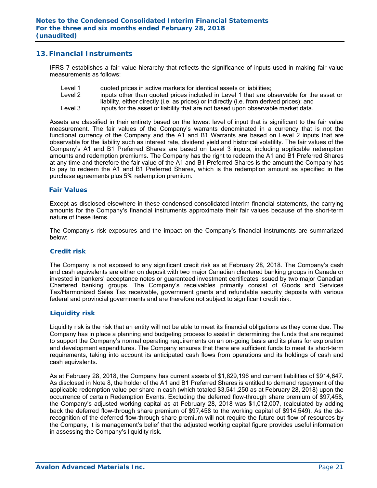### **13. Financial Instruments**

IFRS 7 establishes a fair value hierarchy that reflects the significance of inputs used in making fair value measurements as follows:

- Level 1 quoted prices in active markets for identical assets or liabilities;
- Level 2 inputs other than quoted prices included in Level 1 that are observable for the asset or liability, either directly (i.e. as prices) or indirectly (i.e. from derived prices); and
- Level 3 inputs for the asset or liability that are not based upon observable market data.

Assets are classified in their entirety based on the lowest level of input that is significant to the fair value measurement. The fair values of the Company's warrants denominated in a currency that is not the functional currency of the Company and the A1 and B1 Warrants are based on Level 2 inputs that are observable for the liability such as interest rate, dividend yield and historical volatility. The fair values of the Company's A1 and B1 Preferred Shares are based on Level 3 inputs, including applicable redemption amounts and redemption premiums. The Company has the right to redeem the A1 and B1 Preferred Shares at any time and therefore the fair value of the A1 and B1 Preferred Shares is the amount the Company has to pay to redeem the A1 and B1 Preferred Shares, which is the redemption amount as specified in the purchase agreements plus 5% redemption premium.

#### *Fair Values*

Except as disclosed elsewhere in these condensed consolidated interim financial statements, the carrying amounts for the Company's financial instruments approximate their fair values because of the short-term nature of these items.

The Company's risk exposures and the impact on the Company's financial instruments are summarized below:

#### *Credit risk*

The Company is not exposed to any significant credit risk as at February 28, 2018. The Company's cash and cash equivalents are either on deposit with two major Canadian chartered banking groups in Canada or invested in bankers' acceptance notes or guaranteed investment certificates issued by two major Canadian Chartered banking groups. The Company's receivables primarily consist of Goods and Services Tax/Harmonized Sales Tax receivable, government grants and refundable security deposits with various federal and provincial governments and are therefore not subject to significant credit risk.

#### *Liquidity risk*

Liquidity risk is the risk that an entity will not be able to meet its financial obligations as they come due. The Company has in place a planning and budgeting process to assist in determining the funds that are required to support the Company's normal operating requirements on an on-going basis and its plans for exploration and development expenditures. The Company ensures that there are sufficient funds to meet its short-term requirements, taking into account its anticipated cash flows from operations and its holdings of cash and cash equivalents.

As at February 28, 2018, the Company has current assets of \$1,829,196 and current liabilities of \$914,647. As disclosed in Note 8, the holder of the A1 and B1 Preferred Shares is entitled to demand repayment of the applicable redemption value per share in cash (which totaled \$3,541,250 as at February 28, 2018) upon the occurrence of certain Redemption Events. Excluding the deferred flow-through share premium of \$97,458, the Company's adjusted working capital as at February 28, 2018 was \$1,012,007, (calculated by adding back the deferred flow-through share premium of \$97,458 to the working capital of \$914,549). As the derecognition of the deferred flow-through share premium will not require the future out flow of resources by the Company, it is management's belief that the adjusted working capital figure provides useful information in assessing the Company's liquidity risk.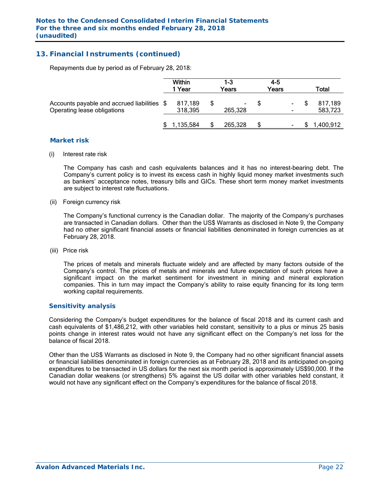## **13. Financial Instruments (continued)**

Repayments due by period as of February 28, 2018:

|                                                                            | Within<br>1 Year |                    | 1-3<br>Years |         | 4-5<br>Years |                | Total |                    |  |
|----------------------------------------------------------------------------|------------------|--------------------|--------------|---------|--------------|----------------|-------|--------------------|--|
| Accounts payable and accrued liabilities \$<br>Operating lease obligations |                  | 817,189<br>318,395 |              | 265,328 |              | $\sim$         |       | 817,189<br>583,723 |  |
|                                                                            |                  | 1,135,584          |              | 265,328 | S            | $\blacksquare$ |       | 1,400,912          |  |

#### *Market risk*

(i) Interest rate risk

 The Company has cash and cash equivalents balances and it has no interest-bearing debt. The Company's current policy is to invest its excess cash in highly liquid money market investments such as bankers' acceptance notes, treasury bills and GICs. These short term money market investments are subject to interest rate fluctuations.

(ii) Foreign currency risk

 The Company's functional currency is the Canadian dollar. The majority of the Company's purchases are transacted in Canadian dollars. Other than the US\$ Warrants as disclosed in Note 9, the Company had no other significant financial assets or financial liabilities denominated in foreign currencies as at February 28, 2018.

(iii) Price risk

 The prices of metals and minerals fluctuate widely and are affected by many factors outside of the Company's control. The prices of metals and minerals and future expectation of such prices have a significant impact on the market sentiment for investment in mining and mineral exploration companies. This in turn may impact the Company's ability to raise equity financing for its long term working capital requirements.

#### *Sensitivity analysis*

 Considering the Company's budget expenditures for the balance of fiscal 2018 and its current cash and cash equivalents of \$1,486,212, with other variables held constant, sensitivity to a plus or minus 25 basis points change in interest rates would not have any significant effect on the Company's net loss for the balance of fiscal 2018.

Other than the US\$ Warrants as disclosed in Note 9, the Company had no other significant financial assets or financial liabilities denominated in foreign currencies as at February 28, 2018 and its anticipated on-going expenditures to be transacted in US dollars for the next six month period is approximately US\$90,000. If the Canadian dollar weakens (or strengthens) 5% against the US dollar with other variables held constant, it would not have any significant effect on the Company's expenditures for the balance of fiscal 2018.